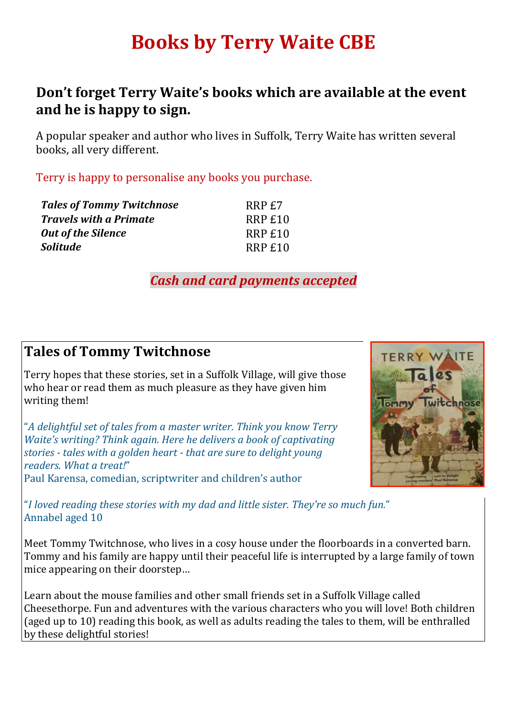# **Books by Terry Waite CBE**

## **Don't forget Terry Waite's books which are available at the event and he is happy to sign.**

A popular speaker and author who lives in Suffolk, Terry Waite has written several books, all very different.

Terry is happy to personalise any books you purchase.

| <b>Tales of Tommy Twitchnose</b> | RRP £7  |
|----------------------------------|---------|
| <b>Travels with a Primate</b>    | RRP £10 |
| <b>Out of the Silence</b>        | RRP £10 |
| <b>Solitude</b>                  | RRP £10 |

*Cash and card payments accepted*

## **Tales of Tommy Twitchnose**

Terry hopes that these stories, set in a Suffolk Village, will give those who hear or read them as much pleasure as they have given him writing them!

"*A delightful set of tales from a master writer. Think you know Terry Waite's writing? Think again. Here he delivers a book of captivating stories - tales with a golden heart - that are sure to delight young readers. What a treat!*" Paul Karensa, comedian, scriptwriter and children's author



"*I loved reading these stories with my dad and little sister. They're so much fun.*" Annabel aged 10

Meet Tommy Twitchnose, who lives in a cosy house under the floorboards in a converted barn. Tommy and his family are happy until their peaceful life is interrupted by a large family of town mice appearing on their doorstep…

Learn about the mouse families and other small friends set in a Suffolk Village called Cheesethorpe. Fun and adventures with the various characters who you will love! Both children (aged up to 10) reading this book, as well as adults reading the tales to them, will be enthralled by these delightful stories!